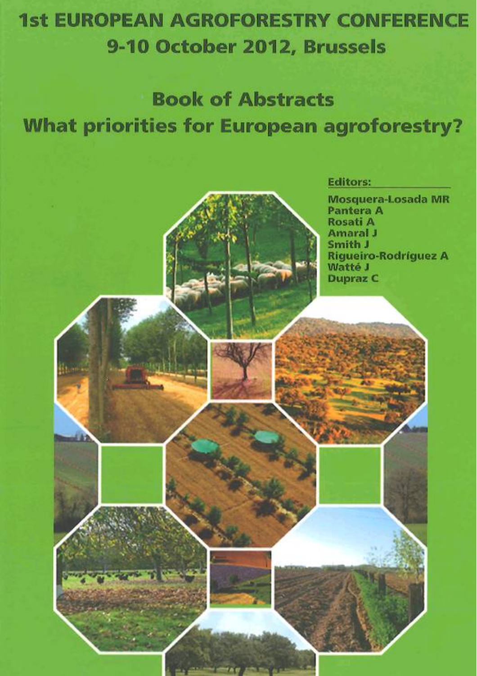## **1st EUROPEAN AGROFORESTRY CONFERENCE** 9-10 October 2012, Brussels

## **Book of Abstracts What priorities for European agroforestry?**